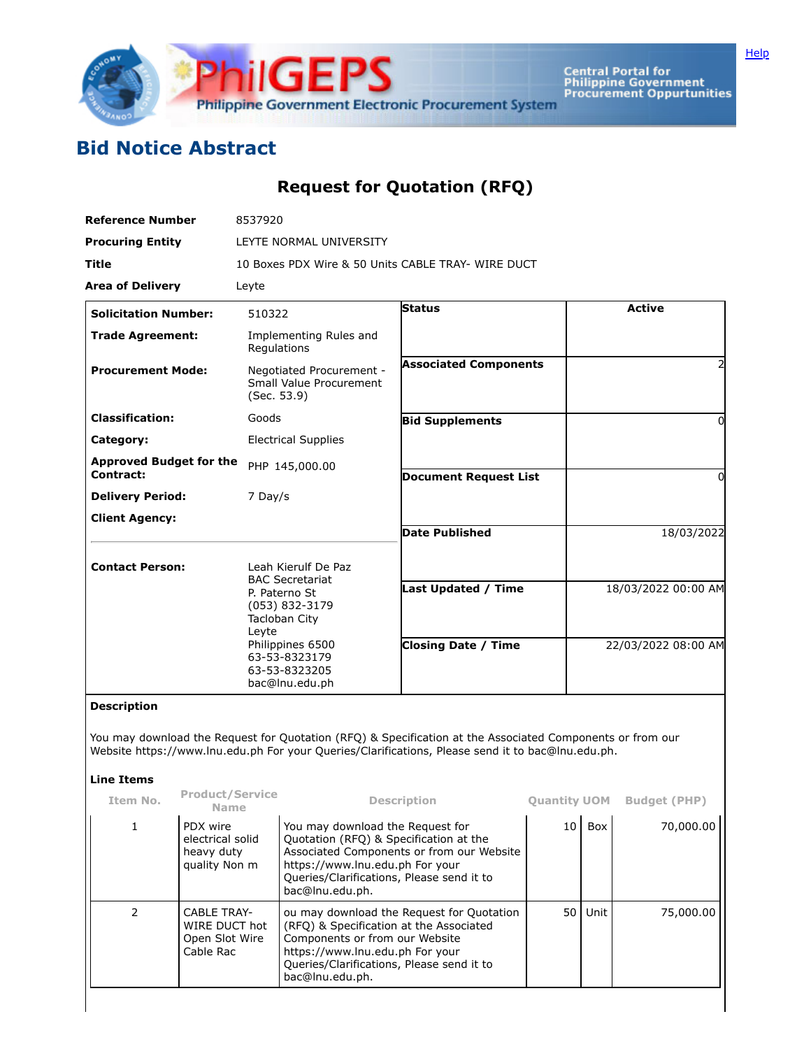

**Central Portal for<br>Philippine Government<br>Procurement Oppurtunities** 

## **Bid Notice Abstract**

## **Request for Quotation (RFQ)**

| <b>Reference Number</b>                     | 8537920                                                                                                                                                                            |                              |                     |  |  |  |  |
|---------------------------------------------|------------------------------------------------------------------------------------------------------------------------------------------------------------------------------------|------------------------------|---------------------|--|--|--|--|
| <b>Procuring Entity</b>                     | LEYTE NORMAL UNIVERSITY                                                                                                                                                            |                              |                     |  |  |  |  |
| <b>Title</b>                                | 10 Boxes PDX Wire & 50 Units CABLE TRAY- WIRE DUCT                                                                                                                                 |                              |                     |  |  |  |  |
| <b>Area of Delivery</b>                     | Leyte                                                                                                                                                                              |                              |                     |  |  |  |  |
| <b>Solicitation Number:</b>                 | 510322                                                                                                                                                                             | <b>Status</b>                | <b>Active</b>       |  |  |  |  |
| <b>Trade Agreement:</b>                     | Implementing Rules and<br>Regulations                                                                                                                                              |                              |                     |  |  |  |  |
| <b>Procurement Mode:</b>                    | Negotiated Procurement -<br>Small Value Procurement<br>(Sec. 53.9)                                                                                                                 | <b>Associated Components</b> |                     |  |  |  |  |
| <b>Classification:</b>                      | Goods                                                                                                                                                                              | <b>Bid Supplements</b>       | 0                   |  |  |  |  |
| Category:                                   | <b>Electrical Supplies</b>                                                                                                                                                         |                              |                     |  |  |  |  |
| <b>Approved Budget for the</b><br>Contract: | PHP 145,000.00                                                                                                                                                                     | <b>Document Request List</b> | 0                   |  |  |  |  |
| <b>Delivery Period:</b>                     | 7 Day/s                                                                                                                                                                            |                              |                     |  |  |  |  |
| <b>Client Agency:</b>                       |                                                                                                                                                                                    |                              |                     |  |  |  |  |
|                                             |                                                                                                                                                                                    | <b>Date Published</b>        | 18/03/2022          |  |  |  |  |
| <b>Contact Person:</b>                      | Leah Kierulf De Paz<br><b>BAC Secretariat</b><br>P. Paterno St<br>(053) 832-3179<br>Tacloban City<br>Leyte<br>Philippines 6500<br>63-53-8323179<br>63-53-8323205<br>bac@lnu.edu.ph | Last Updated / Time          | 18/03/2022 00:00 AM |  |  |  |  |
|                                             |                                                                                                                                                                                    |                              |                     |  |  |  |  |
|                                             |                                                                                                                                                                                    | <b>Closing Date / Time</b>   | 22/03/2022 08:00 AM |  |  |  |  |

## **Description**

You may download the Request for Quotation (RFQ) & Specification at the Associated Components or from our Website https://www.lnu.edu.ph For your Queries/Clarifications, Please send it to bac@lnu.edu.ph.

## **Line Items**

| Item No. | <b>Product/Service</b><br><b>Name</b>                              | <b>Description</b>                                                                                                                                                                                                         | <b>Quantity UOM</b> |      | <b>Budget (PHP)</b> |
|----------|--------------------------------------------------------------------|----------------------------------------------------------------------------------------------------------------------------------------------------------------------------------------------------------------------------|---------------------|------|---------------------|
|          | PDX wire<br>electrical solid<br>heavy duty<br>quality Non m        | You may download the Request for<br>Quotation (RFQ) & Specification at the<br>Associated Components or from our Website<br>https://www.lnu.edu.ph For your<br>Queries/Clarifications, Please send it to<br>bac@lnu.edu.ph. | 10                  | Box  | 70,000.00           |
|          | <b>CABLE TRAY-</b><br>WIRE DUCT hot<br>Open Slot Wire<br>Cable Rac | ou may download the Request for Quotation<br>(RFQ) & Specification at the Associated<br>Components or from our Website<br>https://www.lnu.edu.ph For your<br>Queries/Clarifications, Please send it to<br>bac@lnu.edu.ph.  | 50 l                | Unit | 75,000.00           |